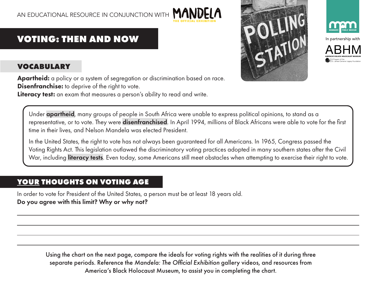



## **VOTING: THEN AND NOW**

## **VOCABULARY**

Apartheid: a policy or a system of segregation or discrimination based on race. **Disenfranchise:** to deprive of the right to vote.

Literacy test: an exam that measures a person's ability to read and write.

Under apartheid, many groups of people in South Africa were unable to express political opinions, to stand as a representative, or to vote. They were **disenfranchised**. In April 1994, millions of Black Africans were able to vote for the first time in their lives, and Nelson Mandela was elected President.

In the United States, the right to vote has not always been guaranteed for all Americans. In 1965, Congress passed the Voting Rights Act. This legislation outlawed the discriminatory voting practices adopted in many southern states after the Civil War, including literacy tests. Even today, some Americans still meet obstacles when attempting to exercise their right to vote.

## **YOUR THOUGHTS ON VOTING AGE**

In order to vote for President of the United States, a person must be at least 18 years old. Do you agree with this limit? Why or why not?

> Using the chart on the next page, compare the ideals for voting rights with the realities of it during three separate periods. Reference the *Mandela: The Official Exhibition* gallery videos, and resources from America's Black Holocaust Museum, to assist you in completing the chart.